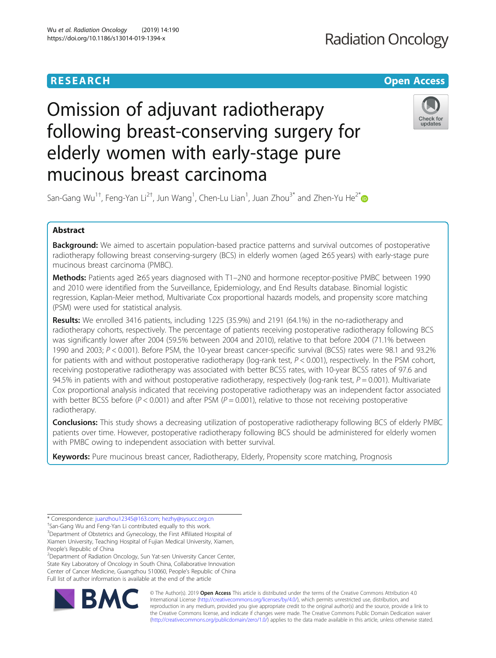# **RESEARCH CHEAR CHEAR CHEAR CHEAR CHEAR CHEAR CHEAR CHEAR CHEAR CHEAR CHEAR CHEAR CHEAR CHEAR CHEAR CHEAR CHEAR**

# Omission of adjuvant radiotherapy following breast-conserving surgery for elderly women with early-stage pure mucinous breast carcinoma



San-Gang Wu $^\text{1+}$ , Feng-Yan Li $^\text{2+}$ , Jun Wang $^\text{1}$ , Chen-Lu Lian $^\text{1}$ , Juan Zhou $^\text{3^*}$  $^\text{3^*}$  $^\text{3^*}$  and Zhen-Yu He $^\text{2^*}$ 

# Abstract

**Background:** We aimed to ascertain population-based practice patterns and survival outcomes of postoperative radiotherapy following breast conserving-surgery (BCS) in elderly women (aged ≥65 years) with early-stage pure mucinous breast carcinoma (PMBC).

Methods: Patients aged ≥65 years diagnosed with T1–2N0 and hormone receptor-positive PMBC between 1990 and 2010 were identified from the Surveillance, Epidemiology, and End Results database. Binomial logistic regression, Kaplan-Meier method, Multivariate Cox proportional hazards models, and propensity score matching (PSM) were used for statistical analysis.

Results: We enrolled 3416 patients, including 1225 (35.9%) and 2191 (64.1%) in the no-radiotherapy and radiotherapy cohorts, respectively. The percentage of patients receiving postoperative radiotherapy following BCS was significantly lower after 2004 (59.5% between 2004 and 2010), relative to that before 2004 (71.1% between 1990 and 2003; P < 0.001). Before PSM, the 10-year breast cancer-specific survival (BCSS) rates were 98.1 and 93.2% for patients with and without postoperative radiotherapy (log-rank test,  $P < 0.001$ ), respectively. In the PSM cohort, receiving postoperative radiotherapy was associated with better BCSS rates, with 10-year BCSS rates of 97.6 and 94.5% in patients with and without postoperative radiotherapy, respectively (log-rank test,  $P = 0.001$ ). Multivariate Cox proportional analysis indicated that receiving postoperative radiotherapy was an independent factor associated with better BCSS before ( $P < 0.001$ ) and after PSM ( $P = 0.001$ ), relative to those not receiving postoperative radiotherapy.

**Conclusions:** This study shows a decreasing utilization of postoperative radiotherapy following BCS of elderly PMBC patients over time. However, postoperative radiotherapy following BCS should be administered for elderly women with PMBC owing to independent association with better survival.

Keywords: Pure mucinous breast cancer, Radiotherapy, Elderly, Propensity score matching, Prognosis

\* Correspondence: [juanzhou12345@163.com;](mailto:juanzhou12345@163.com) [hezhy@sysucc.org.cn](mailto:hezhy@sysucc.org.cn) †

<sup>+</sup>San-Gang Wu and Feng-Yan Li contributed equally to this work. <sup>3</sup>Department of Obstetrics and Gynecology, the First Affiliated Hospital of Xiamen University, Teaching Hospital of Fujian Medical University, Xiamen,

<sup>&</sup>lt;sup>2</sup>Department of Radiation Oncology, Sun Yat-sen University Cancer Center, State Key Laboratory of Oncology in South China, Collaborative Innovation Center of Cancer Medicine, Guangzhou 510060, People's Republic of China Full list of author information is available at the end of the article



© The Author(s). 2019 **Open Access** This article is distributed under the terms of the Creative Commons Attribution 4.0 International License [\(http://creativecommons.org/licenses/by/4.0/](http://creativecommons.org/licenses/by/4.0/)), which permits unrestricted use, distribution, and reproduction in any medium, provided you give appropriate credit to the original author(s) and the source, provide a link to the Creative Commons license, and indicate if changes were made. The Creative Commons Public Domain Dedication waiver [\(http://creativecommons.org/publicdomain/zero/1.0/](http://creativecommons.org/publicdomain/zero/1.0/)) applies to the data made available in this article, unless otherwise stated.

People's Republic of China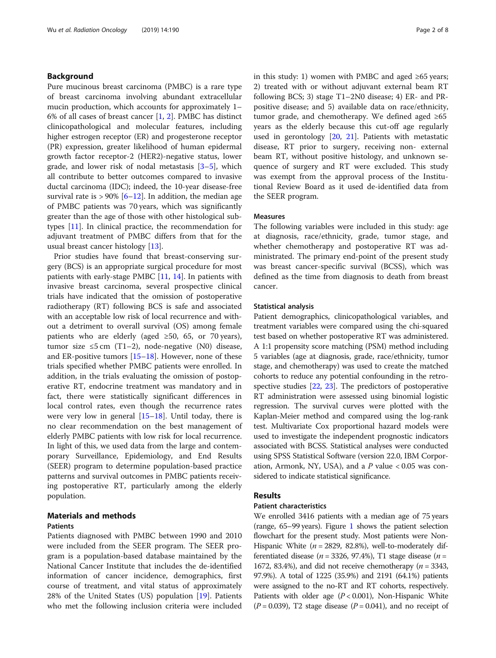# Background

Pure mucinous breast carcinoma (PMBC) is a rare type of breast carcinoma involving abundant extracellular mucin production, which accounts for approximately 1– 6% of all cases of breast cancer [\[1](#page-6-0), [2](#page-6-0)]. PMBC has distinct clinicopathological and molecular features, including higher estrogen receptor (ER) and progesterone receptor (PR) expression, greater likelihood of human epidermal growth factor receptor-2 (HER2)-negative status, lower grade, and lower risk of nodal metastasis [[3](#page-6-0)–[5](#page-6-0)], which all contribute to better outcomes compared to invasive ductal carcinoma (IDC); indeed, the 10-year disease-free survival rate is  $> 90\%$  [[6](#page-6-0)–[12\]](#page-7-0). In addition, the median age of PMBC patients was 70 years, which was significantly greater than the age of those with other histological subtypes [[11\]](#page-7-0). In clinical practice, the recommendation for adjuvant treatment of PMBC differs from that for the usual breast cancer histology [[13\]](#page-7-0).

Prior studies have found that breast-conserving surgery (BCS) is an appropriate surgical procedure for most patients with early-stage PMBC [[11](#page-7-0), [14](#page-7-0)]. In patients with invasive breast carcinoma, several prospective clinical trials have indicated that the omission of postoperative radiotherapy (RT) following BCS is safe and associated with an acceptable low risk of local recurrence and without a detriment to overall survival (OS) among female patients who are elderly (aged  $\geq 50$ , 65, or 70 years), tumor size  $\leq$ 5 cm (T1–2), node-negative (N0) disease, and ER-positive tumors  $[15–18]$  $[15–18]$  $[15–18]$  $[15–18]$  $[15–18]$ . However, none of these trials specified whether PMBC patients were enrolled. In addition, in the trials evaluating the omission of postoperative RT, endocrine treatment was mandatory and in fact, there were statistically significant differences in local control rates, even though the recurrence rates were very low in general  $[15–18]$  $[15–18]$  $[15–18]$  $[15–18]$  $[15–18]$ . Until today, there is no clear recommendation on the best management of elderly PMBC patients with low risk for local recurrence. In light of this, we used data from the large and contemporary Surveillance, Epidemiology, and End Results (SEER) program to determine population-based practice patterns and survival outcomes in PMBC patients receiving postoperative RT, particularly among the elderly population.

# Materials and methods Patients

Patients diagnosed with PMBC between 1990 and 2010 were included from the SEER program. The SEER program is a population-based database maintained by the National Cancer Institute that includes the de-identified information of cancer incidence, demographics, first course of treatment, and vital status of approximately 28% of the United States (US) population [\[19\]](#page-7-0). Patients who met the following inclusion criteria were included in this study: 1) women with PMBC and aged  $\geq 65$  years; 2) treated with or without adjuvant external beam RT following BCS; 3) stage T1–2N0 disease; 4) ER- and PRpositive disease; and 5) available data on race/ethnicity, tumor grade, and chemotherapy. We defined aged ≥65 years as the elderly because this cut-off age regularly used in gerontology [[20](#page-7-0), [21\]](#page-7-0). Patients with metastatic disease, RT prior to surgery, receiving non- external beam RT, without positive histology, and unknown sequence of surgery and RT were excluded. This study was exempt from the approval process of the Institutional Review Board as it used de-identified data from the SEER program.

# Measures

The following variables were included in this study: age at diagnosis, race/ethnicity, grade, tumor stage, and whether chemotherapy and postoperative RT was administrated. The primary end-point of the present study was breast cancer-specific survival (BCSS), which was defined as the time from diagnosis to death from breast cancer.

#### Statistical analysis

Patient demographics, clinicopathological variables, and treatment variables were compared using the chi-squared test based on whether postoperative RT was administered. A 1:1 propensity score matching (PSM) method including 5 variables (age at diagnosis, grade, race/ethnicity, tumor stage, and chemotherapy) was used to create the matched cohorts to reduce any potential confounding in the retrospective studies [[22,](#page-7-0) [23](#page-7-0)]. The predictors of postoperative RT administration were assessed using binomial logistic regression. The survival curves were plotted with the Kaplan-Meier method and compared using the log-rank test. Multivariate Cox proportional hazard models were used to investigate the independent prognostic indicators associated with BCSS. Statistical analyses were conducted using SPSS Statistical Software (version 22.0, IBM Corporation, Armonk, NY, USA), and a  $P$  value < 0.05 was considered to indicate statistical significance.

# Results

## Patient characteristics

We enrolled 3416 patients with a median age of 75 years (range, 65–99 years). Figure [1](#page-2-0) shows the patient selection flowchart for the present study. Most patients were Non-Hispanic White ( $n = 2829, 82.8\%$ ), well-to-moderately differentiated disease ( $n = 3326$ , 97.4%), T1 stage disease ( $n =$ 1672, 83.4%), and did not receive chemotherapy ( $n = 3343$ , 97.9%). A total of 1225 (35.9%) and 2191 (64.1%) patients were assigned to the no-RT and RT cohorts, respectively. Patients with older age  $(P < 0.001)$ , Non-Hispanic White  $(P = 0.039)$ , T2 stage disease  $(P = 0.041)$ , and no receipt of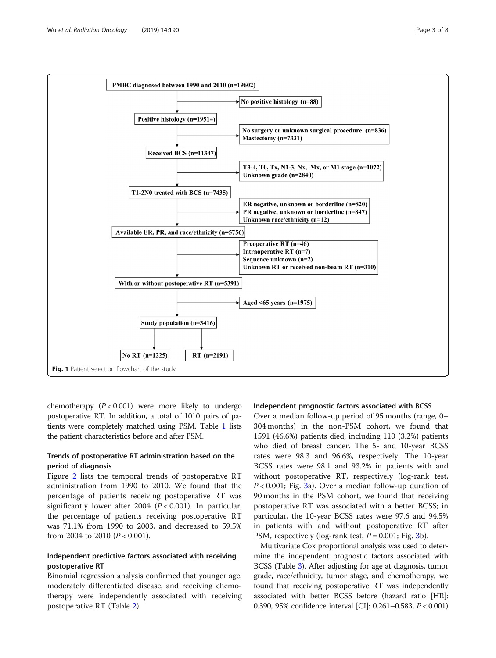<span id="page-2-0"></span>

chemotherapy  $(P < 0.001)$  were more likely to undergo postoperative RT. In addition, a total of 1010 pairs of patients were completely matched using PSM. Table [1](#page-3-0) lists the patient characteristics before and after PSM.

# Trends of postoperative RT administration based on the period of diagnosis

Figure [2](#page-3-0) lists the temporal trends of postoperative RT administration from 1990 to 2010. We found that the percentage of patients receiving postoperative RT was significantly lower after 2004 ( $P < 0.001$ ). In particular, the percentage of patients receiving postoperative RT was 71.1% from 1990 to 2003, and decreased to 59.5% from 2004 to 2010 ( $P < 0.001$ ).

# Independent predictive factors associated with receiving postoperative RT

Binomial regression analysis confirmed that younger age, moderately differentiated disease, and receiving chemotherapy were independently associated with receiving postoperative RT (Table [2\)](#page-4-0).

## Independent prognostic factors associated with BCSS

Over a median follow-up period of 95 months (range, 0– 304 months) in the non-PSM cohort, we found that 1591 (46.6%) patients died, including 110 (3.2%) patients who died of breast cancer. The 5- and 10-year BCSS rates were 98.3 and 96.6%, respectively. The 10-year BCSS rates were 98.1 and 93.2% in patients with and without postoperative RT, respectively (log-rank test,  $P < 0.001$ ; Fig. [3](#page-4-0)a). Over a median follow-up duration of 90 months in the PSM cohort, we found that receiving postoperative RT was associated with a better BCSS; in particular, the 10-year BCSS rates were 97.6 and 94.5% in patients with and without postoperative RT after PSM, respectively (log-rank test,  $P = 0.001$ ; Fig. [3](#page-4-0)b).

Multivariate Cox proportional analysis was used to determine the independent prognostic factors associated with BCSS (Table [3](#page-5-0)). After adjusting for age at diagnosis, tumor grade, race/ethnicity, tumor stage, and chemotherapy, we found that receiving postoperative RT was independently associated with better BCSS before (hazard ratio [HR]: 0.390, 95% confidence interval [CI]: 0.261–0.583, P < 0.001)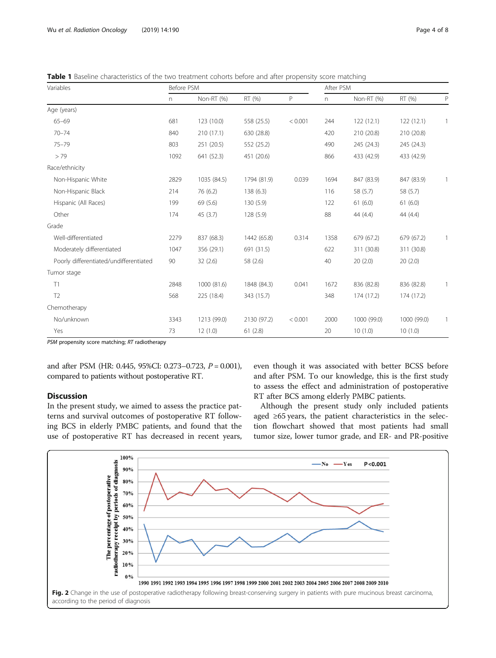<span id="page-3-0"></span>Table 1 Baseline characteristics of the two treatment cohorts before and after propensity score matching

| Variables                              | Before PSM |             |             |         | After PSM |             |             |    |
|----------------------------------------|------------|-------------|-------------|---------|-----------|-------------|-------------|----|
|                                        | n.         | Non-RT (%)  | RT (%)      | P       | n         | Non-RT (%)  | RT (%)      | P  |
| Age (years)                            |            |             |             |         |           |             |             |    |
| $65 - 69$                              | 681        | 123 (10.0)  | 558 (25.5)  | < 0.001 | 244       | 122 (12.1)  | 122 (12.1)  | 1  |
| $70 - 74$                              | 840        | 210 (17.1)  | 630 (28.8)  |         | 420       | 210 (20.8)  | 210 (20.8)  |    |
| $75 - 79$                              | 803        | 251 (20.5)  | 552 (25.2)  |         | 490       | 245 (24.3)  | 245 (24.3)  |    |
| > 79                                   | 1092       | 641 (52.3)  | 451 (20.6)  |         | 866       | 433 (42.9)  | 433 (42.9)  |    |
| Race/ethnicity                         |            |             |             |         |           |             |             |    |
| Non-Hispanic White                     | 2829       | 1035 (84.5) | 1794 (81.9) | 0.039   | 1694      | 847 (83.9)  | 847 (83.9)  |    |
| Non-Hispanic Black                     | 214        | 76 (6.2)    | 138(6.3)    |         | 116       | 58 (5.7)    | 58 (5.7)    |    |
| Hispanic (All Races)                   | 199        | 69 (5.6)    | 130 (5.9)   |         | 122       | 61(6.0)     | 61(6.0)     |    |
| Other                                  | 174        | 45(3.7)     | 128 (5.9)   |         | 88        | 44 (4.4)    | 44 (4.4)    |    |
| Grade                                  |            |             |             |         |           |             |             |    |
| Well-differentiated                    | 2279       | 837 (68.3)  | 1442 (65.8) | 0.314   | 1358      | 679 (67.2)  | 679 (67.2)  |    |
| Moderately differentiated              | 1047       | 356 (29.1)  | 691 (31.5)  |         | 622       | 311 (30.8)  | 311 (30.8)  |    |
| Poorly differentiated/undifferentiated | 90         | 32(2.6)     | 58 (2.6)    |         | 40        | 20(2.0)     | 20(2.0)     |    |
| Tumor stage                            |            |             |             |         |           |             |             |    |
| T1                                     | 2848       | 1000 (81.6) | 1848 (84.3) | 0.041   | 1672      | 836 (82.8)  | 836 (82.8)  |    |
| T <sub>2</sub>                         | 568        | 225 (18.4)  | 343 (15.7)  |         | 348       | 174 (17.2)  | 174 (17.2)  |    |
| Chemotherapy                           |            |             |             |         |           |             |             |    |
| No/unknown                             | 3343       | 1213 (99.0) | 2130 (97.2) | < 0.001 | 2000      | 1000 (99.0) | 1000 (99.0) | -1 |
| Yes                                    | 73         | 12(1.0)     | 61(2.8)     |         | 20        | 10(1.0)     | 10(1.0)     |    |

PSM propensity score matching; RT radiotherapy

and after PSM (HR: 0.445, 95%CI: 0.273–0.723,  $P = 0.001$ ), compared to patients without postoperative RT.

# Discussion

In the present study, we aimed to assess the practice patterns and survival outcomes of postoperative RT following BCS in elderly PMBC patients, and found that the use of postoperative RT has decreased in recent years, even though it was associated with better BCSS before and after PSM. To our knowledge, this is the first study to assess the effect and administration of postoperative RT after BCS among elderly PMBC patients.

Although the present study only included patients aged ≥65 years, the patient characteristics in the selection flowchart showed that most patients had small tumor size, lower tumor grade, and ER- and PR-positive

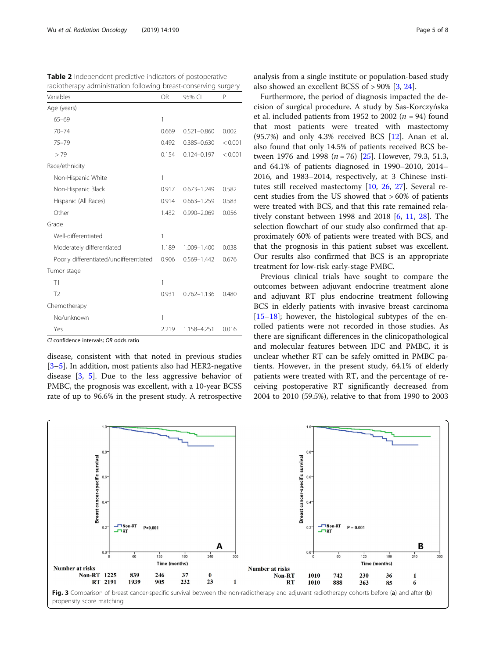<span id="page-4-0"></span>

| Table 2 Independent predictive indicators of postoperative      |     |        |  |  |  |
|-----------------------------------------------------------------|-----|--------|--|--|--|
| radiotherapy administration following breast-conserving surgery |     |        |  |  |  |
| Variables                                                       | OR. | 95% CL |  |  |  |
| Age (years)                                                     |     |        |  |  |  |
| 65-69                                                           |     |        |  |  |  |

| ひコーひソ                                  |       |                 |         |
|----------------------------------------|-------|-----------------|---------|
| $70 - 74$                              | 0.669 | $0.521 - 0.860$ | 0.002   |
| $75 - 79$                              | 0.492 | $0.385 - 0.630$ | < 0.001 |
| >79                                    | 0.154 | $0.124 - 0.197$ | < 0.001 |
| Race/ethnicity                         |       |                 |         |
| Non-Hispanic White                     | 1     |                 |         |
| Non-Hispanic Black                     | 0.917 | $0.673 - 1.249$ | 0.582   |
| Hispanic (All Races)                   | 0.914 | $0.663 - 1.259$ | 0.583   |
| Other                                  | 1.432 | 0.990-2.069     | 0.056   |
| Grade                                  |       |                 |         |
| Well-differentiated                    | 1     |                 |         |
| Moderately differentiated              | 1.189 | 1.009-1.400     | 0.038   |
| Poorly differentiated/undifferentiated | 0.906 | 0.569-1.442     | 0.676   |
| Tumor stage                            |       |                 |         |
| T1                                     | 1     |                 |         |
| T <sub>2</sub>                         | 0.931 | $0.762 - 1.136$ | 0.480   |
| Chemotherapy                           |       |                 |         |
| No/unknown                             | 1     |                 |         |
| Yes                                    | 2.219 | 1.158-4.251     | 0.016   |

CI confidence intervals; OR odds ratio

disease, consistent with that noted in previous studies [[3](#page-6-0)–[5\]](#page-6-0). In addition, most patients also had HER2-negative disease [[3,](#page-6-0) [5](#page-6-0)]. Due to the less aggressive behavior of PMBC, the prognosis was excellent, with a 10-year BCSS rate of up to 96.6% in the present study. A retrospective

also showed an excellent BCSS of > 90% [\[3](#page-6-0), [24](#page-7-0)]. Furthermore, the period of diagnosis impacted the decision of surgical procedure. A study by Sas-Korczyńska et al. included patients from 1952 to 2002 ( $n = 94$ ) found that most patients were treated with mastectomy (95.7%) and only 4.3% received BCS [[12\]](#page-7-0). Anan et al. also found that only 14.5% of patients received BCS between 1976 and 1998 ( $n = 76$ ) [[25\]](#page-7-0). However, 79.3, 51.3, and 64.1% of patients diagnosed in 1990–2010, 2014– 2016, and 1983–2014, respectively, at 3 Chinese institutes still received mastectomy [\[10,](#page-7-0) [26,](#page-7-0) [27](#page-7-0)]. Several recent studies from the US showed that > 60% of patients were treated with BCS, and that this rate remained relatively constant between 1998 and 2018 [\[6](#page-6-0), [11](#page-7-0), [28](#page-7-0)]. The selection flowchart of our study also confirmed that approximately 60% of patients were treated with BCS, and that the prognosis in this patient subset was excellent. Our results also confirmed that BCS is an appropriate treatment for low-risk early-stage PMBC.

analysis from a single institute or population-based study

Previous clinical trials have sought to compare the outcomes between adjuvant endocrine treatment alone and adjuvant RT plus endocrine treatment following BCS in elderly patients with invasive breast carcinoma  $[15–18]$  $[15–18]$  $[15–18]$  $[15–18]$  $[15–18]$ ; however, the histological subtypes of the enrolled patients were not recorded in those studies. As there are significant differences in the clinicopathological and molecular features between IDC and PMBC, it is unclear whether RT can be safely omitted in PMBC patients. However, in the present study, 64.1% of elderly patients were treated with RT, and the percentage of receiving postoperative RT significantly decreased from 2004 to 2010 (59.5%), relative to that from 1990 to 2003

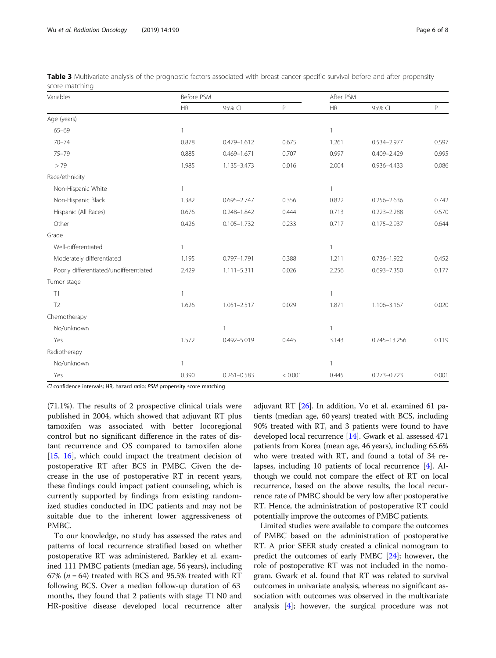| Variables                              | Before PSM   |                 |         | After PSM    |                  |       |
|----------------------------------------|--------------|-----------------|---------|--------------|------------------|-------|
|                                        | HR           | 95% CI          | Ρ       | HR           | 95% CI           | P     |
| Age (years)                            |              |                 |         |              |                  |       |
| $65 - 69$                              | 1            |                 |         | $\mathbf{1}$ |                  |       |
| $70 - 74$                              | 0.878        | $0.479 - 1.612$ | 0.675   | 1.261        | 0.534-2.977      | 0.597 |
| $75 - 79$                              | 0.885        | $0.469 - 1.671$ | 0.707   | 0.997        | $0.409 - 2.429$  | 0.995 |
| >79                                    | 1.985        | 1.135-3.473     | 0.016   | 2.004        | 0.936-4.433      | 0.086 |
| Race/ethnicity                         |              |                 |         |              |                  |       |
| Non-Hispanic White                     |              |                 |         | $\mathbf{1}$ |                  |       |
| Non-Hispanic Black                     | 1.382        | $0.695 - 2.747$ | 0.356   | 0.822        | $0.256 - 2.636$  | 0.742 |
| Hispanic (All Races)                   | 0.676        | $0.248 - 1.842$ | 0.444   | 0.713        | $0.223 - 2.288$  | 0.570 |
| Other                                  | 0.426        | $0.105 - 1.732$ | 0.233   | 0.717        | $0.175 - 2.937$  | 0.644 |
| Grade                                  |              |                 |         |              |                  |       |
| Well-differentiated                    | 1            |                 |         | $\mathbf{1}$ |                  |       |
| Moderately differentiated              | 1.195        | $0.797 - 1.791$ | 0.388   | 1.211        | $0.736 - 1.922$  | 0.452 |
| Poorly differentiated/undifferentiated | 2.429        | $1.111 - 5.311$ | 0.026   | 2.256        | $0.693 - 7.350$  | 0.177 |
| Tumor stage                            |              |                 |         |              |                  |       |
| T1                                     | $\mathbf{1}$ |                 |         | $\mathbf{1}$ |                  |       |
| T <sub>2</sub>                         | 1.626        | $1.051 - 2.517$ | 0.029   | 1.871        | 1.106-3.167      | 0.020 |
| Chemotherapy                           |              |                 |         |              |                  |       |
| No/unknown                             |              | $\mathbf{1}$    |         | $\mathbf{1}$ |                  |       |
| Yes                                    | 1.572        | 0.492-5.019     | 0.445   | 3.143        | $0.745 - 13.256$ | 0.119 |
| Radiotherapy                           |              |                 |         |              |                  |       |
| No/unknown                             | 1            |                 |         | 1            |                  |       |
| Yes                                    | 0.390        | $0.261 - 0.583$ | < 0.001 | 0.445        | $0.273 - 0.723$  | 0.001 |

<span id="page-5-0"></span>Table 3 Multivariate analysis of the prognostic factors associated with breast cancer-specific survival before and after propensity score matching

CI confidence intervals; HR, hazard ratio; PSM propensity score matching

(71.1%). The results of 2 prospective clinical trials were published in 2004, which showed that adjuvant RT plus tamoxifen was associated with better locoregional control but no significant difference in the rates of distant recurrence and OS compared to tamoxifen alone [[15,](#page-7-0) [16\]](#page-7-0), which could impact the treatment decision of postoperative RT after BCS in PMBC. Given the decrease in the use of postoperative RT in recent years, these findings could impact patient counseling, which is currently supported by findings from existing randomized studies conducted in IDC patients and may not be suitable due to the inherent lower aggressiveness of PMBC.

To our knowledge, no study has assessed the rates and patterns of local recurrence stratified based on whether postoperative RT was administered. Barkley et al. examined 111 PMBC patients (median age, 56 years), including 67% ( $n = 64$ ) treated with BCS and 95.5% treated with RT following BCS. Over a median follow-up duration of 63 months, they found that 2 patients with stage T1 N0 and HR-positive disease developed local recurrence after adjuvant RT [[26](#page-7-0)]. In addition, Vo et al. examined 61 patients (median age, 60 years) treated with BCS, including 90% treated with RT, and 3 patients were found to have developed local recurrence [[14](#page-7-0)]. Gwark et al. assessed 471 patients from Korea (mean age, 46 years), including 65.6% who were treated with RT, and found a total of 34 relapses, including 10 patients of local recurrence [\[4](#page-6-0)]. Although we could not compare the effect of RT on local recurrence, based on the above results, the local recurrence rate of PMBC should be very low after postoperative RT. Hence, the administration of postoperative RT could potentially improve the outcomes of PMBC patients.

Limited studies were available to compare the outcomes of PMBC based on the administration of postoperative RT. A prior SEER study created a clinical nomogram to predict the outcomes of early PMBC [[24](#page-7-0)]; however, the role of postoperative RT was not included in the nomogram. Gwark et al. found that RT was related to survival outcomes in univariate analysis, whereas no significant association with outcomes was observed in the multivariate analysis [\[4](#page-6-0)]; however, the surgical procedure was not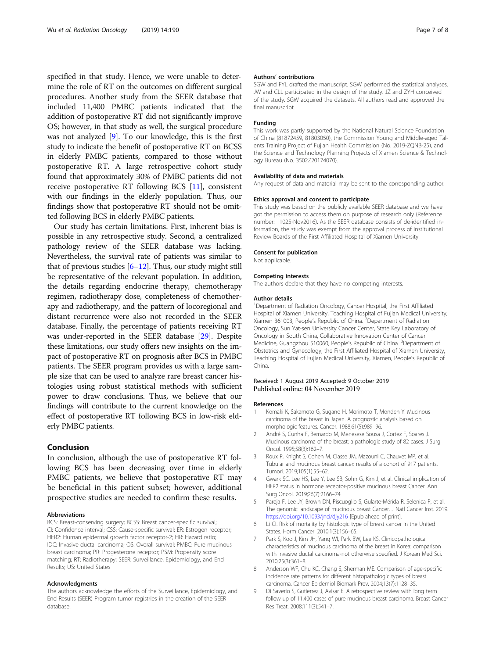<span id="page-6-0"></span>specified in that study. Hence, we were unable to determine the role of RT on the outcomes on different surgical procedures. Another study from the SEER database that included 11,400 PMBC patients indicated that the addition of postoperative RT did not significantly improve OS; however, in that study as well, the surgical procedure was not analyzed [9]. To our knowledge, this is the first study to indicate the benefit of postoperative RT on BCSS in elderly PMBC patients, compared to those without postoperative RT. A large retrospective cohort study found that approximately 30% of PMBC patients did not receive postoperative RT following BCS [[11](#page-7-0)], consistent with our findings in the elderly population. Thus, our findings show that postoperative RT should not be omitted following BCS in elderly PMBC patients.

Our study has certain limitations. First, inherent bias is possible in any retrospective study. Second, a centralized pathology review of the SEER database was lacking. Nevertheless, the survival rate of patients was similar to that of previous studies [6–[12\]](#page-7-0). Thus, our study might still be representative of the relevant population. In addition, the details regarding endocrine therapy, chemotherapy regimen, radiotherapy dose, completeness of chemotherapy and radiotherapy, and the pattern of locoregional and distant recurrence were also not recorded in the SEER database. Finally, the percentage of patients receiving RT was under-reported in the SEER database [[29](#page-7-0)]. Despite these limitations, our study offers new insights on the impact of postoperative RT on prognosis after BCS in PMBC patients. The SEER program provides us with a large sample size that can be used to analyze rare breast cancer histologies using robust statistical methods with sufficient power to draw conclusions. Thus, we believe that our findings will contribute to the current knowledge on the effect of postoperative RT following BCS in low-risk elderly PMBC patients.

# Conclusion

In conclusion, although the use of postoperative RT following BCS has been decreasing over time in elderly PMBC patients, we believe that postoperative RT may be beneficial in this patient subset; however, additional prospective studies are needed to confirm these results.

#### Abbreviations

BCS: Breast-conserving surgery; BCSS: Breast cancer-specific survival; CI: Confidence interval; CSS: Cause-specific survival; ER: Estrogen receptor; HER2: Human epidermal growth factor receptor-2; HR: Hazard ratio; IDC: Invasive ductal carcinoma; OS: Overall survival; PMBC: Pure mucinous breast carcinoma; PR: Progesterone receptor; PSM: Propensity score matching; RT: Radiotherapy; SEER: Surveillance, Epidemiology, and End Results; US: United States

#### Acknowledgments

The authors acknowledge the efforts of the Surveillance, Epidemiology, and End Results (SEER) Program tumor registries in the creation of the SEER database.

## Authors' contributions

SGW and FYL drafted the manuscript. SGW performed the statistical analyses. JW and CLL participated in the design of the study. JZ and ZYH conceived of the study. SGW acquired the datasets. All authors read and approved the final manuscript.

#### Funding

This work was partly supported by the National Natural Science Foundation of China (81872459, 81803050), the Commission Young and Middle-aged Talents Training Project of Fujian Health Commission (No. 2019-ZQNB-25), and the Science and Technology Planning Projects of Xiamen Science & Technology Bureau (No. 3502Z20174070).

#### Availability of data and materials

Any request of data and material may be sent to the corresponding author.

#### Ethics approval and consent to participate

This study was based on the publicly available SEER database and we have got the permission to access them on purpose of research only (Reference number: 11025-Nov2016). As the SEER database consists of de-identified information, the study was exempt from the approval process of Institutional Review Boards of the First Affiliated Hospital of Xiamen University.

#### Consent for publication

Not applicable.

#### Competing interests

The authors declare that they have no competing interests.

#### Author details

<sup>1</sup>Department of Radiation Oncology, Cancer Hospital, the First Affiliated Hospital of Xiamen University, Teaching Hospital of Fujian Medical University, Xiamen 361003, People's Republic of China. <sup>2</sup>Department of Radiation Oncology, Sun Yat-sen University Cancer Center, State Key Laboratory of Oncology in South China, Collaborative Innovation Center of Cancer Medicine, Guangzhou 510060, People's Republic of China. <sup>3</sup>Department of Obstetrics and Gynecology, the First Affiliated Hospital of Xiamen University, Teaching Hospital of Fujian Medical University, Xiamen, People's Republic of China.

## Received: 1 August 2019 Accepted: 9 October 2019 Published online: 04 November 2019

#### References

- Komaki K, Sakamoto G, Sugano H, Morimoto T, Monden Y. Mucinous carcinoma of the breast in Japan. A prognostic analysis based on morphologic features. Cancer. 1988;61(5):989–96.
- 2. André S, Cunha F, Bernardo M, Menesese Sousa J, Cortez F, Soares J. Mucinous carcinoma of the breast: a pathologic study of 82 cases. J Surg Oncol. 1995;58(3):162–7.
- 3. Roux P, Knight S, Cohen M, Classe JM, Mazouni C, Chauvet MP, et al. Tubular and mucinous breast cancer: results of a cohort of 917 patients. Tumori. 2019;105(1):55–62.
- 4. Gwark SC, Lee HS, Lee Y, Lee SB, Sohn G, Kim J, et al. Clinical implication of HER2 status in hormone receptor-positive mucinous breast Cancer. Ann Surg Oncol. 2019;26(7):2166–74.
- 5. Pareja F, Lee JY, Brown DN, Piscuoglio S, Gularte-Mérida R, Selenica P, et al. The genomic landscape of mucinous breast Cancer. J Natl Cancer Inst. 2019. <https://doi.org/10.1093/jnci/djy216> [Epub ahead of print].
- 6. Li CI. Risk of mortality by histologic type of breast cancer in the United States. Horm Cancer. 2010;1(3):156–65.
- Park S, Koo J, Kim JH, Yang WI, Park BW, Lee KS. Clinicopathological characteristics of mucinous carcinoma of the breast in Korea: comparison with invasive ductal carcinoma-not otherwise specified. J Korean Med Sci. 2010;25(3):361–8.
- 8. Anderson WF, Chu KC, Chang S, Sherman ME. Comparison of age-specific incidence rate patterns for different histopathologic types of breast carcinoma. Cancer Epidemiol Biomark Prev. 2004;13(7):1128–35.
- 9. Di Saverio S, Gutierrez J, Avisar E. A retrospective review with long term follow up of 11,400 cases of pure mucinous breast carcinoma. Breast Cancer Res Treat. 2008;111(3):541–7.